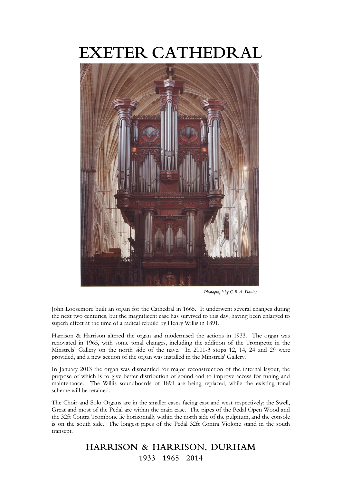# **EXETER CATHEDRAL**



 *Photograph by C.R.A. Davies*

John Loosemore built an organ for the Cathedral in 1665. It underwent several changes during the next two centuries, but the magnificent case has survived to this day, having been enlarged to superb effect at the time of a radical rebuild by Henry Willis in 1891.

Harrison & Harrison altered the organ and modernised the actions in 1933. The organ was renovated in 1965, with some tonal changes, including the addition of the Trompette in the Minstrels' Gallery on the north side of the nave. In 2001-3 stops 12, 14, 24 and 29 were provided, and a new section of the organ was installed in the Minstrels' Gallery.

In January 2013 the organ was dismantled for major reconstruction of the internal layout, the purpose of which is to give better distribution of sound and to improve access for tuning and maintenance. The Willis soundboards of 1891 are being replaced, while the existing tonal scheme will be retained.

The Choir and Solo Organs are in the smaller cases facing east and west respectively; the Swell, Great and most of the Pedal are within the main case. The pipes of the Pedal Open Wood and the 32ft Contra Trombone lie horizontally within the north side of the pulpitum, and the console is on the south side. The longest pipes of the Pedal 32ft Contra Violone stand in the south transept.

> **HARRISON & HARRISON, DURHAM 1933 1965 2014**